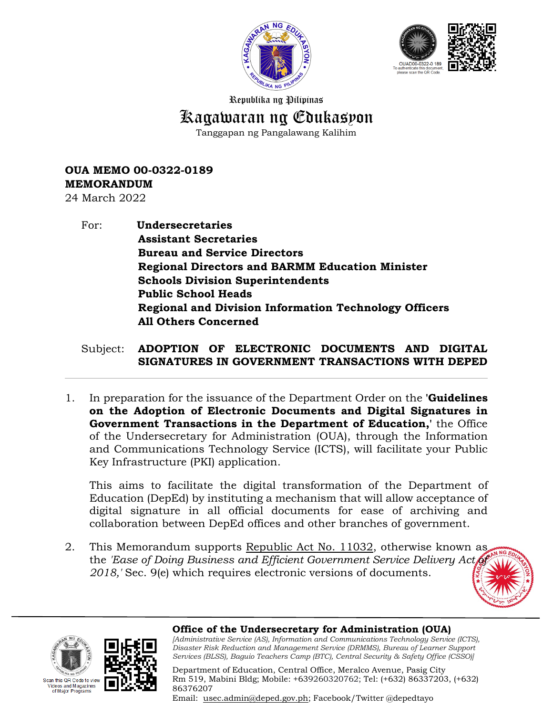



Republika ng Pilipinas

## Kagawaran ng Edukasyon

Tanggapan ng Pangalawang Kalihim

**OUA MEMO 00-0322-0189 MEMORANDUM**

24 March 2022

For: **Undersecretaries Assistant Secretaries Bureau and Service Directors Regional Directors and BARMM Education Minister Schools Division Superintendents Public School Heads Regional and Division Information Technology Officers All Others Concerned**

Subject: **ADOPTION OF ELECTRONIC DOCUMENTS AND DIGITAL SIGNATURES IN GOVERNMENT TRANSACTIONS WITH DEPED**

1. In preparation for the issuance of the Department Order on the **'Guidelines on the Adoption of Electronic Documents and Digital Signatures in Government Transactions in the Department of Education,'** the Office of the Undersecretary for Administration (OUA), through the Information and Communications Technology Service (ICTS), will facilitate your Public Key Infrastructure (PKI) application.

This aims to facilitate the digital transformation of the Department of Education (DepEd) by instituting a mechanism that will allow acceptance of digital signature in all official documents for ease of archiving and collaboration between DepEd offices and other branches of government.

2. This Memorandum supports Republic Act No. 11032, otherwise known as the *'Ease of Doing Business and Efficient Government Service Delivery Act 2018,'* Sec. 9(e) which requires electronic versions of documents.



## **Office of the Undersecretary for Administration (OUA)**

*[Administrative Service (AS), Information and Communications Technology Service (ICTS), Disaster Risk Reduction and Management Service (DRMMS), Bureau of Learner Support Services (BLSS), Baguio Teachers Camp (BTC), Central Security & Safety Office (CSSO)]*

Department of Education, Central Office, Meralco Avenue, Pasig City Rm 519, Mabini Bldg; Mobile: +639260320762; Tel: (+632) 86337203, (+632) 86376207

Email: [usec.admin@deped.gov.ph;](mailto:usec.admin@deped.gov.ph) Facebook/Twitter @depedtayo